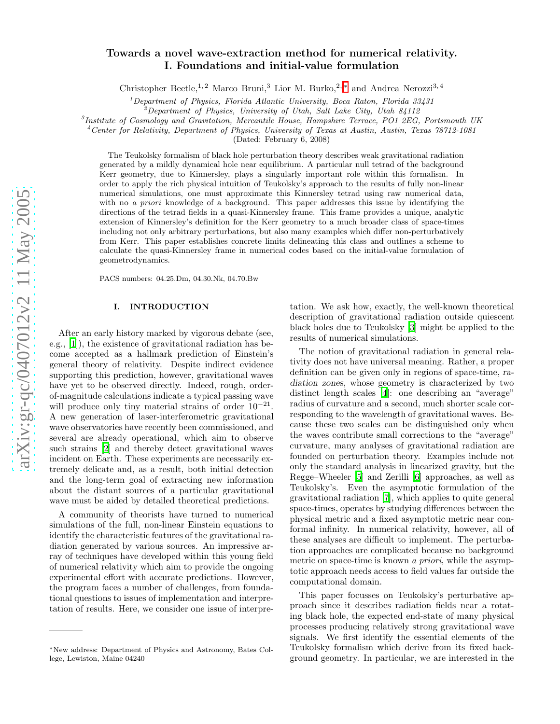# Towards a novel wave-extraction method for numerical relativity. I. Foundations and initial-value formulation

Christopher Beetle,<sup>1,2</sup> Marco Bruni,<sup>3</sup> Lior M. Burko,<sup>2,\*</sup> and Andrea Nerozzi<sup>3,4</sup>

<sup>1</sup>Department of Physics, Florida Atlantic University, Boca Raton, Florida 33431<br><sup>2</sup>Department of Physics, University of Utah, Salt Lake City, Utah 84112

 ${}^3$ Institute of Cosmology and Gravitation, Mercantile House, Hampshire Terrace, PO1 2EG, Portsmouth UK

<sup>4</sup> Center for Relativity, Department of Physics, University of Texas at Austin, Austin, Texas 78712-1081

(Dated: February 6, 2008)

The Teukolsky formalism of black hole perturbation theory describes weak gravitational radiation generated by a mildly dynamical hole near equilibrium. A particular null tetrad of the background Kerr geometry, due to Kinnersley, plays a singularly important role within this formalism. In order to apply the rich physical intuition of Teukolsky's approach to the results of fully non-linear numerical simulations, one must approximate this Kinnersley tetrad using raw numerical data, with no a priori knowledge of a background. This paper addresses this issue by identifying the directions of the tetrad fields in a quasi-Kinnersley frame. This frame provides a unique, analytic extension of Kinnersley's definition for the Kerr geometry to a much broader class of space-times including not only arbitrary perturbations, but also many examples which differ non-perturbatively from Kerr. This paper establishes concrete limits delineating this class and outlines a scheme to calculate the quasi-Kinnersley frame in numerical codes based on the initial-value formulation of geometrodynamics.

PACS numbers: 04.25.Dm, 04.30.Nk, 04.70.Bw

#### I. INTRODUCTION

After an early history marked by vigorous debate (see, e.g., [\[1\]](#page-10-0)), the existence of gravitational radiation has be come accepted as a hallmark prediction of Einstein's general theory of relativity. Despite indirect evidence supporting this prediction, however, gravitational waves have yet to be observed directly. Indeed, rough, orderof-magnitude calculations indicate a typical passing wave will produce only tiny material strains of order  $10^{-21}$ . A new generation of laser-interferometric gravitational wave observatories have recently been commissioned, and several are already operational, which aim to observe such strains [\[2\]](#page-10-1) and thereby detect gravitational waves incident on Earth. These experiments are necessarily extremely delicate and, as a result, both initial detection and the long-term goal of extracting new information about the distant sources of a particular gravitational wave must be aided by detailed theoretical predictions.

A community of theorists have turned to numerical simulations of the full, non-linear Einstein equations to identify the characteristic features of the gravitational radiation generated by various sources. An impressive array of techniques have developed within this young field of numerical relativity which aim to provide the ongoing experimental effort with accurate predictions. However, the program faces a number of challenges, from foundational questions to issues of implementation and interpretation of results. Here, we consider one issue of interpre-

tation. We ask how, exactly, the well-known theoretical description of gravitational radiation outside quiescent black holes due to Teukolsky [\[3](#page-10-2)] might be applied to the results of numerical simulations.

The notion of gravitational radiation in general relativity does not have universal meaning. Rather, a proper definition can be given only in regions of space-time, radiation zones, whose geometry is characterized by two distinct length scales [\[4](#page-10-3)]: one describing an "average" radius of curvature and a second, much shorter scale corresponding to the wavelength of gravitational waves. Because these two scales can be distinguished only when the waves contribute small corrections to the "average" curvature, many analyses of gravitational radiation are founded on perturbation theory. Examples include not only the standard analysis in linearized gravity, but the Regge–Wheeler [\[5](#page-10-4)] and Zerilli [\[6\]](#page-10-5) approaches, as well as Teukolsky's. Even the asymptotic formulation of the gravitational radiation [\[7](#page-10-6)], which applies to quite genera l space-times, operates by studying differences between the physical metric and a fixed asymptotic metric near conformal infinity. In numerical relativity, however, all of these analyses are difficult to implement. The perturbation approaches are complicated because no background metric on space-time is known a priori, while the asymptotic approach needs access to field values far outside the computational domain.

This paper focusses on Teukolsky's perturbative approach since it describes radiation fields near a rotating black hole, the expected end-state of many physical processes producing relatively strong gravitational wave signals. We first identify the essential elements of the Teukolsky formalism which derive from its fixed background geometry. In particular, we are interested in the

<span id="page-0-0"></span><sup>∗</sup>New address: Department of Physics and Astronomy, Bates College, Lewiston, Maine 04240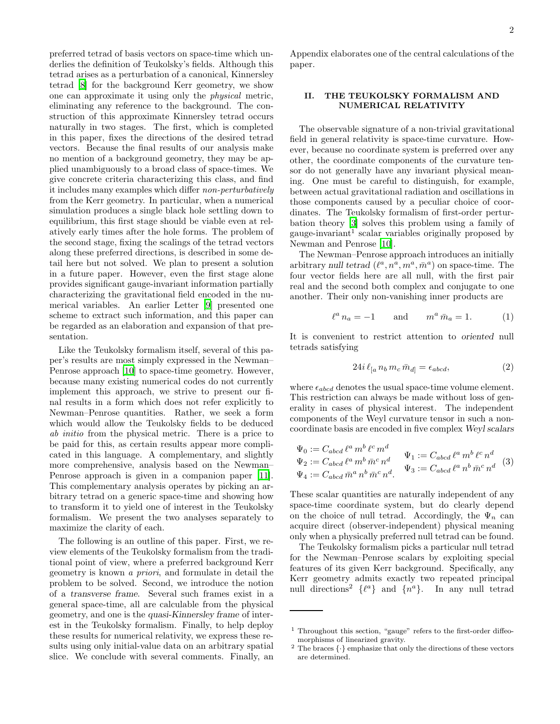preferred tetrad of basis vectors on space-time which underlies the definition of Teukolsky's fields. Although this tetrad arises as a perturbation of a canonical, Kinnersley tetrad [\[8\]](#page-10-7) for the background Kerr geometry, we show one can approximate it using only the physical metric, eliminating any reference to the background. The construction of this approximate Kinnersley tetrad occurs naturally in two stages. The first, which is completed in this paper, fixes the directions of the desired tetrad vectors. Because the final results of our analysis make no mention of a background geometry, they may be applied unambiguously to a broad class of space-times. We give concrete criteria characterizing this class, and find it includes many examples which differ non-perturbatively from the Kerr geometry. In particular, when a numerical simulation produces a single black hole settling down to equilibrium, this first stage should be viable even at relatively early times after the hole forms. The problem of the second stage, fixing the scalings of the tetrad vectors along these preferred directions, is described in some detail here but not solved. We plan to present a solution in a future paper. However, even the first stage alone provides significant gauge-invariant information partially characterizing the gravitational field encoded in the numerical variables. An earlier Letter [\[9](#page-10-8)] presented one scheme to extract such information, and this paper can be regarded as an elaboration and expansion of that presentation.

Like the Teukolsky formalism itself, several of this paper's results are most simply expressed in the Newman– Penrose approach [\[10](#page-10-9)] to space-time geometry. However, because many existing numerical codes do not currently implement this approach, we strive to present our final results in a form which does not refer explicitly to Newman–Penrose quantities. Rather, we seek a form which would allow the Teukolsky fields to be deduced ab initio from the physical metric. There is a price to be paid for this, as certain results appear more complicated in this language. A complementary, and slightly more comprehensive, analysis based on the Newman– Penrose approach is given in a companion paper [\[11\]](#page-10-10). This complementary analysis operates by picking an arbitrary tetrad on a generic space-time and showing how to transform it to yield one of interest in the Teukolsky formalism. We present the two analyses separately to maximize the clarity of each.

The following is an outline of this paper. First, we review elements of the Teukolsky formalism from the traditional point of view, where a preferred background Kerr geometry is known a priori, and formulate in detail the problem to be solved. Second, we introduce the notion of a transverse frame. Several such frames exist in a general space-time, all are calculable from the physical geometry, and one is the quasi-Kinnersley frame of interest in the Teukolsky formalism. Finally, to help deploy these results for numerical relativity, we express these results using only initial-value data on an arbitrary spatial slice. We conclude with several comments. Finally, an

Appendix elaborates one of the central calculations of the paper.

### II. THE TEUKOLSKY FORMALISM AND NUMERICAL RELATIVITY

The observable signature of a non-trivial gravitational field in general relativity is space-time curvature. However, because no coordinate system is preferred over any other, the coordinate components of the curvature tensor do not generally have any invariant physical meaning. One must be careful to distinguish, for example, between actual gravitational radiation and oscillations in those components caused by a peculiar choice of coordinates. The Teukolsky formalism of first-order perturbation theory [\[3](#page-10-2)] solves this problem using a family of gauge-invariant<sup>1</sup> scalar variables originally proposed by Newman and Penrose [\[10](#page-10-9)].

The Newman–Penrose approach introduces an initially arbitrary null tetrad  $(\ell^a, n^a, m^a, \bar{m}^a)$  on space-time. The four vector fields here are all null, with the first pair real and the second both complex and conjugate to one another. Their only non-vanishing inner products are

$$
\ell^a \, n_a = -1 \qquad \text{and} \qquad m^a \, \bar{m}_a = 1. \tag{1}
$$

It is convenient to restrict attention to oriented null tetrads satisfying

$$
24i\,\ell_{[a}\,n_b\,m_c\,\bar{m}_{d]} = \epsilon_{abcd},\tag{2}
$$

where  $\epsilon_{abcd}$  denotes the usual space-time volume element. This restriction can always be made without loss of generality in cases of physical interest. The independent components of the Weyl curvature tensor in such a noncoordinate basis are encoded in five complex Weyl scalars

$$
\Psi_0 := C_{abcd} \ell^a m^b \ell^c m^d
$$
  
\n
$$
\Psi_2 := C_{abcd} \ell^a m^b \bar{m}^c n^d
$$
  
\n
$$
\Psi_1 := C_{abcd} \ell^a m^b \bar{m}^c n^d
$$
  
\n
$$
\Psi_3 := C_{abcd} \ell^a n^b \bar{m}^c n^d
$$
  
\n
$$
\Psi_4 := C_{abcd} \bar{m}^a n^b \bar{m}^c n^d.
$$
 (3)

These scalar quantities are naturally independent of any space-time coordinate system, but do clearly depend on the choice of null tetrad. Accordingly, the  $\Psi_n$  can acquire direct (observer-independent) physical meaning only when a physically preferred null tetrad can be found.

The Teukolsky formalism picks a particular null tetrad for the Newman–Penrose scalars by exploiting special features of its given Kerr background. Specifically, any Kerr geometry admits exactly two repeated principal null directions<sup>2</sup>  $\{\ell^a\}$  and  $\{n^a\}$ . In any null tetrad

 $^{\rm 1}$  Throughout this section, "gauge" refers to the first-order diffeomorphisms of linearized gravity.

 $2$  The braces  $\{\cdot\}$  emphasize that only the directions of these vectors are determined.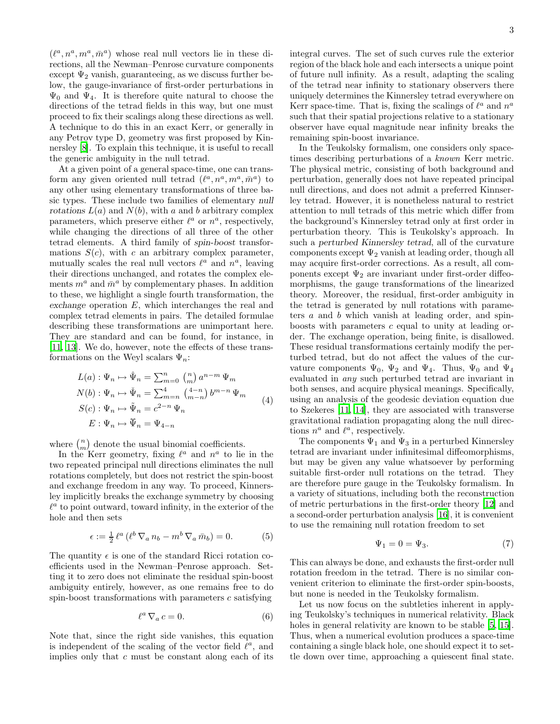$(\ell^a, n^a, m^a, \bar{m}^a)$  whose real null vectors lie in these directions, all the Newman–Penrose curvature components except  $\Psi_2$  vanish, guaranteeing, as we discuss further below, the gauge-invariance of first-order perturbations in  $\Psi_0$  and  $\Psi_4$ . It is therefore quite natural to choose the directions of the tetrad fields in this way, but one must proceed to fix their scalings along these directions as well. A technique to do this in an exact Kerr, or generally in any Petrov type D, geometry was first proposed by Kinnersley [\[8\]](#page-10-7). To explain this technique, it is useful to recall the generic ambiguity in the null tetrad.

At a given point of a general space-time, one can transform any given oriented null tetrad  $(\ell^a, n^a, m^a, \bar{m}^a)$  to any other using elementary transformations of three basic types. These include two families of elementary null rotations  $L(a)$  and  $N(b)$ , with a and b arbitrary complex parameters, which preserve either  $\ell^a$  or  $n^a$ , respectively, while changing the directions of all three of the other tetrad elements. A third family of spin-boost transformations  $S(c)$ , with c an arbitrary complex parameter, mutually scales the real null vectors  $\ell^a$  and  $n^a$ , leaving their directions unchanged, and rotates the complex elements  $m^a$  and  $\bar{m}^a$  by complementary phases. In addition to these, we highlight a single fourth transformation, the exchange operation E, which interchanges the real and complex tetrad elements in pairs. The detailed formulae describing these transformations are unimportant here. They are standard and can be found, for instance, in [\[11,](#page-10-10) [13\]](#page-10-11). We do, however, note the effects of these transformations on the Weyl scalars  $\Psi_n$ :

<span id="page-2-1"></span>
$$
L(a) : \Psi_n \mapsto \hat{\Psi}_n = \sum_{m=0}^n \binom{n}{m} a^{n-m} \Psi_m
$$
  
\n
$$
N(b) : \Psi_n \mapsto \check{\Psi}_n = \sum_{m=n}^4 \binom{4-n}{m-n} b^{m-n} \Psi_m
$$
  
\n
$$
S(c) : \Psi_n \mapsto \check{\Psi}_n = c^{2-n} \Psi_n
$$
  
\n
$$
E : \Psi_n \mapsto \check{\Psi}_n = \Psi_{4-n}
$$
  
\n(4)

where  $\binom{n}{m}$  denote the usual binomial coefficients.

In the Kerr geometry, fixing  $\ell^a$  and  $n^a$  to lie in the two repeated principal null directions eliminates the null rotations completely, but does not restrict the spin-boost and exchange freedom in any way. To proceed, Kinnersley implicitly breaks the exchange symmetry by choosing  $\ell^a$  to point outward, toward infinity, in the exterior of the hole and then sets

$$
\epsilon := \frac{1}{2} \ell^a \left( \ell^b \nabla_a n_b - m^b \nabla_a \bar{m}_b \right) = 0. \tag{5}
$$

The quantity  $\epsilon$  is one of the standard Ricci rotation coefficients used in the Newman–Penrose approach. Setting it to zero does not eliminate the residual spin-boost ambiguity entirely, however, as one remains free to do spin-boost transformations with parameters  $c$  satisfying

$$
\ell^a \, \nabla_a \, c = 0. \tag{6}
$$

Note that, since the right side vanishes, this equation is independent of the scaling of the vector field  $\ell^a$ , and implies only that  $c$  must be constant along each of its

integral curves. The set of such curves rule the exterior region of the black hole and each intersects a unique point of future null infinity. As a result, adapting the scaling of the tetrad near infinity to stationary observers there uniquely determines the Kinnersley tetrad everywhere on Kerr space-time. That is, fixing the scalings of  $\ell^a$  and  $n^a$ such that their spatial projections relative to a stationary observer have equal magnitude near infinity breaks the remaining spin-boost invariance.

In the Teukolsky formalism, one considers only spacetimes describing perturbations of a known Kerr metric. The physical metric, consisting of both background and perturbation, generally does not have repeated principal null directions, and does not admit a preferred Kinnserley tetrad. However, it is nonetheless natural to restrict attention to null tetrads of this metric which differ from the background's Kinnersley tetrad only at first order in perturbation theory. This is Teukolsky's approach. In such a perturbed Kinnersley tetrad, all of the curvature components except  $\Psi_2$  vanish at leading order, though all may acquire first-order corrections. As a result, all components except  $\Psi_2$  are invariant under first-order diffeomorphisms, the gauge transformations of the linearized theory. Moreover, the residual, first-order ambiguity in the tetrad is generated by null rotations with parameters a and b which vanish at leading order, and spinboosts with parameters c equal to unity at leading order. The exchange operation, being finite, is disallowed. These residual transformations certainly modify the perturbed tetrad, but do not affect the values of the curvature components  $\Psi_0$ ,  $\Psi_2$  and  $\Psi_4$ . Thus,  $\Psi_0$  and  $\Psi_4$ evaluated in any such perturbed tetrad are invariant in both senses, and acquire physical meanings. Specifically, using an analysis of the geodesic deviation equation due to Szekeres [\[11,](#page-10-10) [14\]](#page-10-12), they are associated with transverse gravitational radiation propagating along the null directions  $n^a$  and  $\ell^a$ , respectively.

The components  $\Psi_1$  and  $\Psi_3$  in a perturbed Kinnersley tetrad are invariant under infinitesimal diffeomorphisms, but may be given any value whatsoever by performing suitable first-order null rotations on the tetrad. They are therefore pure gauge in the Teukolsky formalism. In a variety of situations, including both the reconstruction of metric perturbations in the first-order theory [\[12](#page-10-13)] and a second-order perturbation analysis [\[16](#page-10-14)], it is convenient to use the remaining null rotation freedom to set

$$
\Psi_1 = 0 = \Psi_3. \tag{7}
$$

<span id="page-2-0"></span>This can always be done, and exhausts the first-order null rotation freedom in the tetrad. There is no similar convenient criterion to eliminate the first-order spin-boosts, but none is needed in the Teukolsky formalism.

Let us now focus on the subtleties inherent in applying Teukolsky's techniques in numerical relativity. Black holes in general relativity are known to be stable [\[5,](#page-10-4) [15\]](#page-10-15). Thus, when a numerical evolution produces a space-time containing a single black hole, one should expect it to settle down over time, approaching a quiescent final state.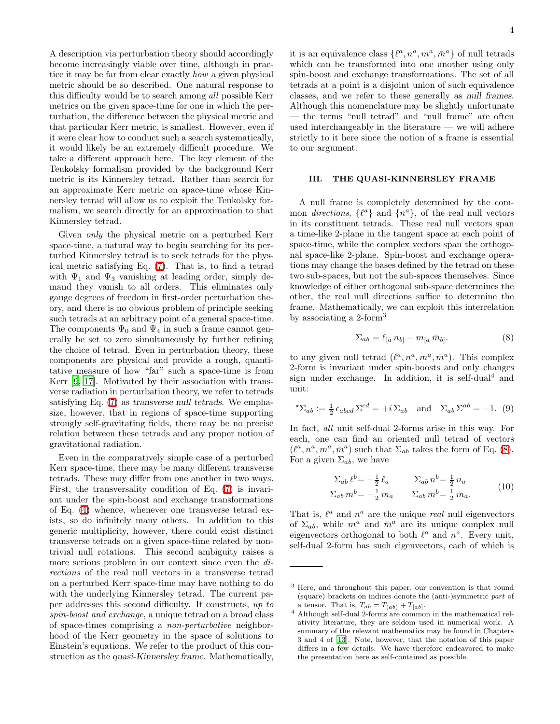A description via perturbation theory should accordingly become increasingly viable over time, although in practice it may be far from clear exactly how a given physical metric should be so described. One natural response to this difficulty would be to search among all possible Kerr metrics on the given space-time for one in which the perturbation, the difference between the physical metric and that particular Kerr metric, is smallest. However, even if it were clear how to conduct such a search systematically, it would likely be an extremely difficult procedure. We take a different approach here. The key element of the Teukolsky formalism provided by the background Kerr metric is its Kinnersley tetrad. Rather than search for an approximate Kerr metric on space-time whose Kinnersley tetrad will allow us to exploit the Teukolsky formalism, we search directly for an approximation to that Kinnersley tetrad.

Given only the physical metric on a perturbed Kerr space-time, a natural way to begin searching for its perturbed Kinnersley tetrad is to seek tetrads for the physical metric satisfying Eq. [\(7\)](#page-2-0). That is, to find a tetrad with  $\Psi_1$  and  $\Psi_3$  vanishing at leading order, simply demand they vanish to all orders. This eliminates only gauge degrees of freedom in first-order perturbation theory, and there is no obvious problem of principle seeking such tetrads at an arbitrary point of a general space-time. The components  $\Psi_0$  and  $\Psi_4$  in such a frame cannot generally be set to zero simultaneously by further refining the choice of tetrad. Even in perturbation theory, these components are physical and provide a rough, quantitative measure of how "far" such a space-time is from Kerr [\[9](#page-10-8), [17\]](#page-10-16). Motivated by their association with transverse radiation in perturbation theory, we refer to tetrads satisfying Eq. [\(7\)](#page-2-0) as transverse null tetrads. We emphasize, however, that in regions of space-time supporting strongly self-gravitating fields, there may be no precise relation between these tetrads and any proper notion of gravitational radiation.

Even in the comparatively simple case of a perturbed Kerr space-time, there may be many different transverse tetrads. These may differ from one another in two ways. First, the transversality condition of Eq. [\(7\)](#page-2-0) is invariant under the spin-boost and exchange transformations of Eq. [\(4\)](#page-2-1) whence, whenever one transverse tetrad exists, so do infinitely many others. In addition to this generic multiplicity, however, there could exist distinct transverse tetrads on a given space-time related by nontrivial null rotations. This second ambiguity raises a more serious problem in our context since even the directions of the real null vectors in a transverse tetrad on a perturbed Kerr space-time may have nothing to do with the underlying Kinnersley tetrad. The current paper addresses this second difficulty. It constructs, up to spin-boost and exchange, a unique tetrad on a broad class of space-times comprising a non-perturbative neighborhood of the Kerr geometry in the space of solutions to Einstein's equations. We refer to the product of this construction as the quasi-Kinnersley frame. Mathematically,

it is an equivalence class  $\{\ell^a, n^a, m^a, \bar{m}^a\}$  of null tetrads which can be transformed into one another using only spin-boost and exchange transformations. The set of all tetrads at a point is a disjoint union of such equivalence classes, and we refer to these generally as null frames. Although this nomenclature may be slightly unfortunate — the terms "null tetrad" and "null frame" are often used interchangeably in the literature — we will adhere strictly to it here since the notion of a frame is essential to our argument.

#### III. THE QUASI-KINNERSLEY FRAME

A null frame is completely determined by the common directions,  $\{\ell^a\}$  and  $\{n^a\}$ , of the real null vectors in its constituent tetrads. These real null vectors span a time-like 2-plane in the tangent space at each point of space-time, while the complex vectors span the orthogonal space-like 2-plane. Spin-boost and exchange operations may change the bases defined by the tetrad on these two sub-spaces, but not the sub-spaces themselves. Since knowledge of either orthogonal sub-space determines the other, the real null directions suffice to determine the frame. Mathematically, we can exploit this interrelation by associating a 2-form<sup>3</sup>

$$
\Sigma_{ab} = \ell_{[a} n_{b]} - m_{[a} \bar{m}_{b]}.
$$
\n
$$
(8)
$$

<span id="page-3-0"></span>to any given null tetrad  $(\ell^a, n^a, m^a, \bar{m}^a)$ . This complex 2-form is invariant under spin-boosts and only changes sign under exchange. In addition, it is self-dual<sup>4</sup> and unit:

<span id="page-3-2"></span>
$$
{}^{\star}\Sigma_{ab} := \frac{1}{2} \epsilon_{abcd} \Sigma^{cd} = +i \Sigma_{ab} \text{ and } \Sigma_{ab} \Sigma^{ab} = -1. (9)
$$

In fact, all unit self-dual 2-forms arise in this way. For each, one can find an oriented null tetrad of vectors  $(\ell^a, n^a, m^a, \bar{m}^a)$  such that  $\Sigma_{ab}$  takes the form of Eq. [\(8\)](#page-3-0). For a given  $\Sigma_{ab}$ , we have

$$
\sum_{ab} \ell^b = -\frac{1}{2} \ell_a \qquad \sum_{ab} n^b = \frac{1}{2} n_a
$$
\n
$$
\sum_{ab} m^b = -\frac{1}{2} m_a \qquad \sum_{ab} \bar{m}^b = \frac{1}{2} \bar{m}_a.
$$
\n(10)

<span id="page-3-1"></span>That is,  $\ell^a$  and  $n^a$  are the unique *real* null eigenvectors of  $\Sigma_{ab}$ , while  $m^a$  and  $\bar{m}^a$  are its unique complex null eigenvectors orthogonal to both  $\ell^a$  and  $n^a$ . Every unit, self-dual 2-form has such eigenvectors, each of which is

<sup>3</sup> Here, and throughout this paper, our convention is that round (square) brackets on indices denote the (anti-)symmetric part of a tensor. That is,  $T_{ab} = T_{(ab)} + T_{[ab]}$ .

<sup>4</sup> Although self-dual 2-forms are common in the mathematical relativity literature, they are seldom used in numerical work. A summary of the relevant mathematics may be found in Chapters 3 and 4 of [\[13](#page-10-11)]. Note, however, that the notation of this paper differs in a few details. We have therefore endeavored to make the presentation here as self-contained as possible.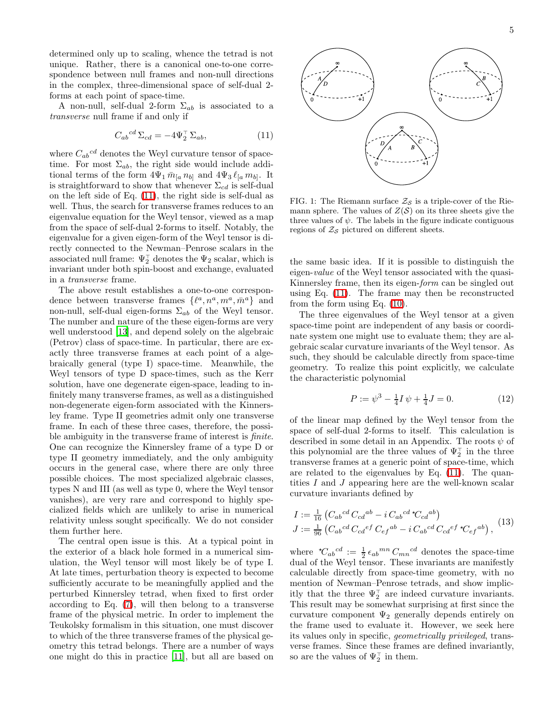determined only up to scaling, whence the tetrad is not unique. Rather, there is a canonical one-to-one correspondence between null frames and non-null directions in the complex, three-dimensional space of self-dual 2 forms at each point of space-time.

<span id="page-4-0"></span>A non-null, self-dual 2-form  $\Sigma_{ab}$  is associated to a transverse null frame if and only if

$$
C_{ab}{}^{cd}\Sigma_{cd} = -4\Psi_2^{\top}\Sigma_{ab},\tag{11}
$$

where  $C_{ab}{}^{cd}$  denotes the Weyl curvature tensor of spacetime. For most  $\Sigma_{ab}$ , the right side would include additional terms of the form  $4\Psi_1 \bar{m}_{a} n_{b}$  and  $4\Psi_3 \ell_{a} m_{b}$ . It is straightforward to show that whenever  $\Sigma_{cd}$  is self-dual on the left side of Eq. [\(11\)](#page-4-0), the right side is self-dual as well. Thus, the search for transverse frames reduces to an eigenvalue equation for the Weyl tensor, viewed as a map from the space of self-dual 2-forms to itself. Notably, the eigenvalue for a given eigen-form of the Weyl tensor is directly connected to the Newman–Penrose scalars in the associated null frame:  $\Psi_2^{\top}$  denotes the  $\Psi_2$  scalar, which is invariant under both spin-boost and exchange, evaluated in a transverse frame.

The above result establishes a one-to-one correspondence between transverse frames  $\{\ell^a, n^a, m^a, \bar{m}^a\}$  and non-null, self-dual eigen-forms  $\Sigma_{ab}$  of the Weyl tensor. The number and nature of the these eigen-forms are very well understood [\[13](#page-10-11)], and depend solely on the algebraic (Petrov) class of space-time. In particular, there are exactly three transverse frames at each point of a algebraically general (type I) space-time. Meanwhile, the Weyl tensors of type D space-times, such as the Kerr solution, have one degenerate eigen-space, leading to infinitely many transverse frames, as well as a distinguished non-degenerate eigen-form associated with the Kinnersley frame. Type II geometries admit only one transverse frame. In each of these three cases, therefore, the possible ambiguity in the transverse frame of interest is finite. One can recognize the Kinnersley frame of a type D or type II geometry immediately, and the only ambiguity occurs in the general case, where there are only three possible choices. The most specialized algebraic classes, types N and III (as well as type 0, where the Weyl tensor vanishes), are very rare and correspond to highly specialized fields which are unlikely to arise in numerical relativity unless sought specifically. We do not consider them further here.

The central open issue is this. At a typical point in the exterior of a black hole formed in a numerical simulation, the Weyl tensor will most likely be of type I. At late times, perturbation theory is expected to become sufficiently accurate to be meaningfully applied and the perturbed Kinnersley tetrad, when fixed to first order according to Eq. [\(7\)](#page-2-0), will then belong to a transverse frame of the physical metric. In order to implement the Teukolsky formalism in this situation, one must discover to which of the three transverse frames of the physical geometry this tetrad belongs. There are a number of ways one might do this in practice [\[11\]](#page-10-10), but all are based on



<span id="page-4-2"></span>FIG. 1: The Riemann surface  $\mathcal{Z}_{\mathcal{S}}$  is a triple-cover of the Riemann sphere. The values of  $Z(S)$  on its three sheets give the three values of  $\psi$ . The labels in the figure indicate contiguous regions of  $\mathcal{Z}_{\mathcal{S}}$  pictured on different sheets.

the same basic idea. If it is possible to distinguish the eigen-value of the Weyl tensor associated with the quasi-Kinnersley frame, then its eigen-form can be singled out using Eq. [\(11\)](#page-4-0). The frame may then be reconstructed from the form using Eq. [\(10\)](#page-3-1).

The three eigenvalues of the Weyl tensor at a given space-time point are independent of any basis or coordinate system one might use to evaluate them; they are algebraic scalar curvature invariants of the Weyl tensor. As such, they should be calculable directly from space-time geometry. To realize this point explicitly, we calculate the characteristic polynomial

$$
P := \psi^3 - \frac{1}{4}I\psi + \frac{1}{4}J = 0.
$$
 (12)

<span id="page-4-1"></span>of the linear map defined by the Weyl tensor from the space of self-dual 2-forms to itself. This calculation is described in some detail in an Appendix. The roots  $\psi$  of this polynomial are the three values of  $\Psi_2^{\top}$  in the three transverse frames at a generic point of space-time, which are related to the eigenvalues by Eq. [\(11\)](#page-4-0). The quantities I and J appearing here are the well-known scalar curvature invariants defined by

$$
I := \frac{1}{16} \left( C_{ab}{}^{cd} C_{cd}{}^{ab} - i C_{ab}{}^{cd} {}^* C_{cd}{}^{ab} \right)
$$
  
\n
$$
J := \frac{1}{96} \left( C_{ab}{}^{cd} C_{cd}{}^{ef} C_{ef}{}^{ab} - i C_{ab}{}^{cd} C_{cd}{}^{ef} {}^* C_{ef}{}^{ab} \right),
$$
\n
$$
(13)
$$

where  ${}^{\star}C_{ab}{}^{cd} := \frac{1}{2} \epsilon_{ab}{}^{mn} C_{mn}{}^{cd}$  denotes the space-time dual of the Weyl tensor. These invariants are manifestly calculable directly from space-time geometry, with no mention of Newman–Penrose tetrads, and show implicitly that the three  $\Psi_2^{\scriptscriptstyle \top}$  are indeed curvature invariants. This result may be somewhat surprising at first since the curvature component  $\Psi_2$  generally depends entirely on the frame used to evaluate it. However, we seek here its values only in specific, geometrically privileged, transverse frames. Since these frames are defined invariantly, so are the values of  $\Psi_2^{\dagger}$  in them.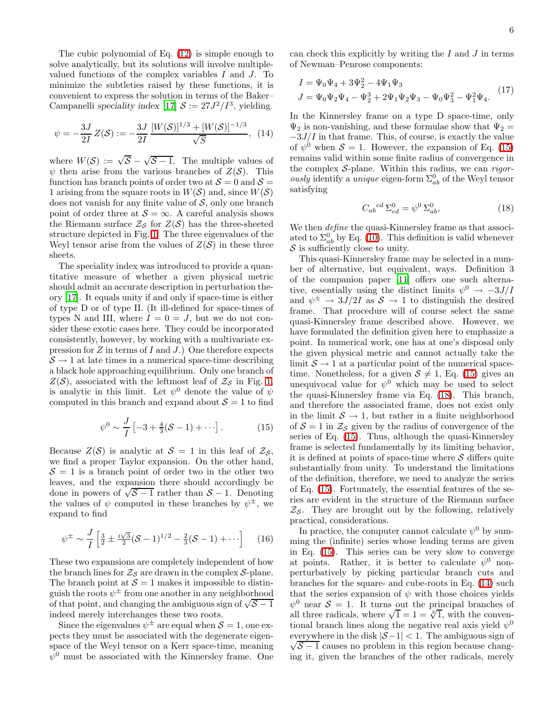The cubic polynomial of Eq. [\(12\)](#page-4-1) is simple enough to solve analytically, but its solutions will involve multiplevalued functions of the complex variables I and J. To minimize the subtleties raised by these functions, it is convenient to express the solution in terms of the Baker– Campanelli speciality index [\[17\]](#page-10-16)  $S := 27J^2/I^3$ , yielding

<span id="page-5-2"></span>
$$
\psi = -\frac{3J}{2I} Z(\mathcal{S}) := -\frac{3J}{2I} \frac{[W(\mathcal{S})]^{1/3} + [W(\mathcal{S})]^{-1/3}}{\sqrt{S}}, \tag{14}
$$

where  $W(S) := \sqrt{S} - \sqrt{S-1}$ . The multiple values of  $\psi$  then arise from the various branches of  $Z(\mathcal{S})$ . This function has branch points of order two at  $\mathcal{S} = 0$  and  $\mathcal{S} =$ 1 arising from the square roots in  $W(S)$  and, since  $W(S)$ does not vanish for any finite value of  $S$ , only one branch point of order three at  $S = \infty$ . A careful analysis shows the Riemann surface  $\mathcal{Z}_{\mathcal{S}}$  for  $Z(\mathcal{S})$  has the three-sheeted structure depicted in Fig. [1.](#page-4-2) The three eigenvalues of the Weyl tensor arise from the values of  $Z(S)$  in these three sheets.

The speciality index was introduced to provide a quantitative measure of whether a given physical metric should admit an accurate description in perturbation theory [\[17\]](#page-10-16). It equals unity if and only if space-time is either of type D or of type II. (It ill-defined for space-times of types N and III, where  $I = 0 = J$ , but we do not consider these exotic cases here. They could be incorporated consistently, however, by working with a multivariate expression for  $Z$  in terms of  $I$  and  $J$ .) One therefore expects  $S \rightarrow 1$  at late times in a numerical space-time describing a black hole approaching equilibrium. Only one branch of  $Z(\mathcal{S})$ , associated with the leftmost leaf of  $\mathcal{Z}_\mathcal{S}$  in Fig. [1,](#page-4-2) is analytic in this limit. Let  $\psi^0$  denote the value of  $\psi$ computed in this branch and expand about  $S = 1$  to find

$$
\psi^0 \sim \frac{J}{I} \left[ -3 + \frac{4}{3} (\mathcal{S} - 1) + \cdots \right].
$$
 (15)

<span id="page-5-0"></span>Because  $Z(S)$  is analytic at  $S = 1$  in this leaf of  $\mathcal{Z}_S$ , we find a proper Taylor expansion. On the other hand,  $S = 1$  is a branch point of order two in the other two leaves, and the expansion there should accordingly be done in powers of  $\sqrt{S-1}$  rather than  $S-1$ . Denoting the values of  $\psi$  computed in these branches by  $\psi^{\pm}$ , we expand to find

$$
\psi^{\pm} \sim \frac{J}{I} \left[ \frac{3}{2} \pm \frac{i\sqrt{3}}{2} (\mathcal{S} - 1)^{1/2} - \frac{2}{3} (\mathcal{S} - 1) + \cdots \right] \tag{16}
$$

These two expansions are completely independent of how the branch lines for  $\mathcal{Z}_{\mathcal{S}}$  are drawn in the complex  $\mathcal{S}\text{-plane}$ . The branch point at  $S = 1$  makes it impossible to distinguish the roots  $\psi^{\pm}$  from one another in any neighborhood of that point, and changing the ambiguous sign of  $\sqrt{S-1}$ indeed merely interchanges these two roots.

Since the eigenvalues  $\psi^{\pm}$  are equal when  $S = 1$ , one expects they must be associated with the degenerate eigenspace of the Weyl tensor on a Kerr space-time, meaning  $\psi^0$  must be associated with the Kinnersley frame. One can check this explicitly by writing the  $I$  and  $J$  in terms of Newman–Penrose components:

$$
I = \Psi_0 \Psi_4 + 3\Psi_2^2 - 4\Psi_1 \Psi_3
$$
  
\n
$$
J = \Psi_0 \Psi_2 \Psi_4 - \Psi_2^3 + 2\Psi_1 \Psi_2 \Psi_3 - \Psi_0 \Psi_3^2 - \Psi_1^2 \Psi_4.
$$
 (17)

In the Kinnersley frame on a type D space-time, only  $\Psi_2$  is non-vanishing, and these formulae show that  $\Psi_2 =$  $-3J/I$  in that frame. This, of course, is exactly the value of  $\psi^0$  when  $\mathcal{S} = 1$ . However, the expansion of Eq. [\(15\)](#page-5-0) remains valid within some finite radius of convergence in the complex  $S$ -plane. Within this radius, we can *rigor*ously identify a *unique* eigen-form  $\Sigma^0_{ab}$  of the Weyl tensor satisfying

$$
C_{ab}{}^{cd} \Sigma_{cd}^0 = \psi^0 \Sigma_{ab}^0,\tag{18}
$$

<span id="page-5-1"></span>We then *define* the quasi-Kinnersley frame as that associated to  $\Sigma_{ab}^0$  by Eq. [\(10\)](#page-3-1). This definition is valid whenever  $\mathcal S$  is sufficiently close to unity.

This quasi-Kinnersley frame may be selected in a number of alternative, but equivalent, ways. Definition 3 of the companion paper [\[11\]](#page-10-10) offers one such alternative, essentially using the distinct limits  $\psi^0 \rightarrow -3J/I$ and  $\psi^{\pm} \rightarrow 3J/2I$  as  $S \rightarrow 1$  to distinguish the desired frame. That procedure will of course select the same quasi-Kinnersley frame described above. However, we have formulated the definition given here to emphasize a point. In numerical work, one has at one's disposal only the given physical metric and cannot actually take the limit  $S \rightarrow 1$  at a particular point of the numerical spacetime. Nonetheless, for a given  $S \neq 1$ , Eq. [\(15\)](#page-5-0) gives an unequivocal value for  $\psi^0$  which may be used to select the quasi-Kinnersley frame via Eq. [\(18\)](#page-5-1). This branch, and therefore the associated frame, does not exist only in the limit  $S \to 1$ , but rather in a finite neighborhood of  $S = 1$  in  $\mathcal{Z}_S$  given by the radius of convergence of the series of Eq. [\(15\)](#page-5-0). Thus, although the quasi-Kinnersley frame is selected fundamentally by its limiting behavior, it is defined at points of space-time where  $\mathcal S$  differs quite substantially from unity. To understand the limitations of the definition, therefore, we need to analyze the series of Eq. [\(15\)](#page-5-0). Fortunately, the essential features of the series are evident in the structure of the Riemann surface  $\mathcal{Z}_{\mathcal{S}}$ . They are brought out by the following, relatively practical, considerations.

In practice, the computer cannot calculate  $\psi^0$  by summing the (infinite) series whose leading terms are given in Eq. [\(15\)](#page-5-0). This series can be very slow to converge at points. Rather, it is better to calculate  $\psi^0$  nonperturbatively by picking particular branch cuts and branches for the square- and cube-roots in Eq. [\(14\)](#page-5-2) such that the series expansion of  $\psi$  with those choices yields  $\psi^0$  near  $\mathcal{S} = 1$ . It turns out the principal branches of all three radicals, where  $\sqrt{1} = 1 = \sqrt[3]{1}$ , with the conventional branch lines along the negative real axis yield  $\psi^0$ everywhere in the disk  $|S-1| < 1$ . The ambiguous sign of  $\sqrt{S-1}$  causes no problem in this region because changing it, given the branches of the other radicals, merely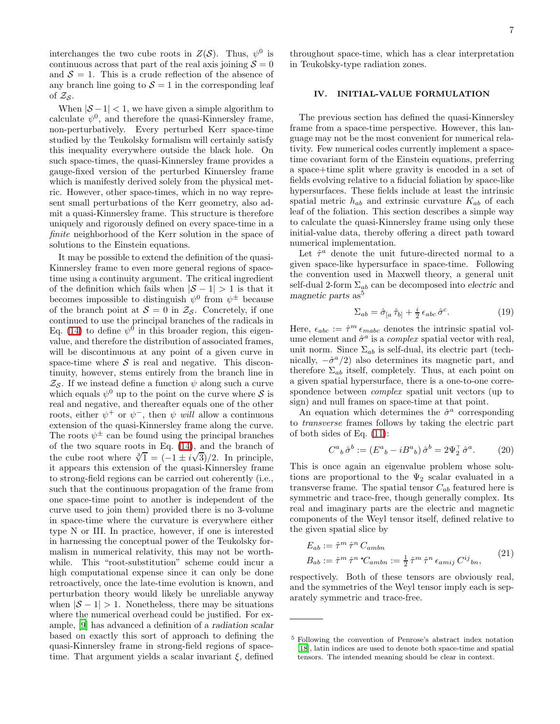interchanges the two cube roots in  $Z(S)$ . Thus,  $\psi^0$  is continuous across that part of the real axis joining  $S = 0$ and  $S = 1$ . This is a crude reflection of the absence of any branch line going to  $S = 1$  in the corresponding leaf of  $\mathcal{Z}_{\mathcal{S}}$ .

When  $|S - 1| < 1$ , we have given a simple algorithm to calculate  $\psi^0$ , and therefore the quasi-Kinnersley frame, non-perturbatively. Every perturbed Kerr space-time studied by the Teukolsky formalism will certainly satisfy this inequality everywhere outside the black hole. On such space-times, the quasi-Kinnersley frame provides a gauge-fixed version of the perturbed Kinnersley frame which is manifestly derived solely from the physical metric. However, other space-times, which in no way represent small perturbations of the Kerr geometry, also admit a quasi-Kinnersley frame. This structure is therefore uniquely and rigorously defined on every space-time in a finite neighborhood of the Kerr solution in the space of solutions to the Einstein equations.

It may be possible to extend the definition of the quasi-Kinnersley frame to even more general regions of spacetime using a continuity argument. The critical ingredient of the definition which fails when  $|S - 1| > 1$  is that it becomes impossible to distinguish  $\psi^0$  from  $\psi^{\pm}$  because of the branch point at  $S = 0$  in  $\mathcal{Z}_S$ . Concretely, if one continued to use the principal branches of the radicals in Eq. [\(14\)](#page-5-2) to define  $\psi^0$  in this broader region, this eigenvalue, and therefore the distribution of associated frames, will be discontinuous at any point of a given curve in space-time where  $S$  is real and negative. This discontinuity, however, stems entirely from the branch line in  $\mathcal{Z}_\mathcal{S}$ . If we instead define a function  $\psi$  along such a curve which equals  $\psi^0$  up to the point on the curve where S is real and negative, and thereafter equals one of the other roots, either  $\psi^+$  or  $\psi^-$ , then  $\psi$  will allow a continuous extension of the quasi-Kinnersley frame along the curve. The roots  $\psi^{\pm}$  can be found using the principal branches of the two square roots in Eq. [\(14\)](#page-5-2), and the branch of the cube root where  $\sqrt[3]{1} = (-1 \pm i\sqrt{3})/2$ . In principle, it appears this extension of the quasi-Kinnersley frame to strong-field regions can be carried out coherently (i.e., such that the continuous propagation of the frame from one space-time point to another is independent of the curve used to join them) provided there is no 3-volume in space-time where the curvature is everywhere either type N or III. In practice, however, if one is interested in harnessing the conceptual power of the Teukolsky formalism in numerical relativity, this may not be worthwhile. This "root-substitution" scheme could incur a high computational expense since it can only be done retroactively, once the late-time evolution is known, and perturbation theory would likely be unreliable anyway when  $|S - 1| > 1$ . Nonetheless, there may be situations where the numerical overhead could be justified. For example, [\[9\]](#page-10-8) has advanced a definition of a radiation scalar based on exactly this sort of approach to defining the quasi-Kinnersley frame in strong-field regions of spacetime. That argument yields a scalar invariant  $\xi$ , defined

throughout space-time, which has a clear interpretation in Teukolsky-type radiation zones.

#### IV. INITIAL-VALUE FORMULATION

The previous section has defined the quasi-Kinnersley frame from a space-time perspective. However, this language may not be the most convenient for numerical relativity. Few numerical codes currently implement a spacetime covariant form of the Einstein equations, preferring a space+time split where gravity is encoded in a set of fields evolving relative to a fiducial foliation by space-like hypersurfaces. These fields include at least the intrinsic spatial metric  $h_{ab}$  and extrinsic curvature  $K_{ab}$  of each leaf of the foliation. This section describes a simple way to calculate the quasi-Kinnersley frame using only these initial-value data, thereby offering a direct path toward numerical implementation.

Let  $\hat{\tau}^a$  denote the unit future-directed normal to a given space-like hypersurface in space-time. Following the convention used in Maxwell theory, a general unit self-dual 2-form  $\Sigma_{ab}$  can be decomposed into electric and magnetic parts as<sup>5</sup>

$$
\Sigma_{ab} = \hat{\sigma}_{[a} \hat{\tau}_{b]} + \frac{i}{2} \epsilon_{abc} \hat{\sigma}^c.
$$
 (19)

<span id="page-6-1"></span>Here,  $\epsilon_{abc} := \hat{\tau}^m \epsilon_{mabc}$  denotes the intrinsic spatial volume element and  $\hat{\sigma}^a$  is a *complex* spatial vector with real, unit norm. Since  $\Sigma_{ab}$  is self-dual, its electric part (technically,  $-\hat{\sigma}^a/2$ ) also determines its magnetic part, and therefore  $\Sigma_{ab}$  itself, completely. Thus, at each point on a given spatial hypersurface, there is a one-to-one correspondence between complex spatial unit vectors (up to sign) and null frames on space-time at that point.

<span id="page-6-0"></span>An equation which determines the  $\hat{\sigma}^a$  corresponding to transverse frames follows by taking the electric part of both sides of Eq. [\(11\)](#page-4-0):

$$
C^{a}{}_{b}\hat{\sigma}^{b} := (E^{a}{}_{b} - iB^{a}{}_{b})\hat{\sigma}^{b} = 2\Psi_{2}^{\top}\hat{\sigma}^{a}.
$$
 (20)

This is once again an eigenvalue problem whose solutions are proportional to the  $\Psi_2$  scalar evaluated in a transverse frame. The spatial tensor  $C_{ab}$  featured here is symmetric and trace-free, though generally complex. Its real and imaginary parts are the electric and magnetic components of the Weyl tensor itself, defined relative to the given spatial slice by

$$
E_{ab} := \hat{\tau}^m \,\hat{\tau}^n \, C_{ambn}
$$
  
\n
$$
B_{ab} := \hat{\tau}^m \,\hat{\tau}^n \, {}^*C_{ambn} := \frac{1}{2} \,\hat{\tau}^m \,\hat{\tau}^n \, \epsilon_{amij} \, C^{ij}{}_{bn},
$$
\n
$$
(21)
$$

respectively. Both of these tensors are obviously real, and the symmetries of the Weyl tensor imply each is separately symmetric and trace-free.

<sup>5</sup> Following the convention of Penrose's abstract index notation [\[18](#page-10-17)], latin indices are used to denote both space-time and spatial tensors. The intended meaning should be clear in context.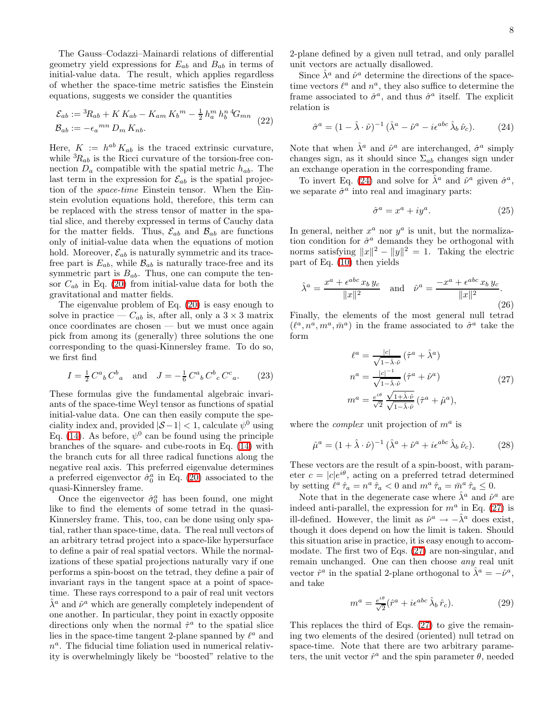The Gauss–Codazzi–Mainardi relations of differential geometry yield expressions for  $E_{ab}$  and  $B_{ab}$  in terms of initial-value data. The result, which applies regardless of whether the space-time metric satisfies the Einstein equations, suggests we consider the quantities

$$
\mathcal{E}_{ab} := {}^{3}R_{ab} + K K_{ab} - K_{am} K_{b}{}^{m} - \frac{1}{2} h_{a}^{m} h_{b}^{n} {}^{4}G_{mn}
$$
  

$$
\mathcal{B}_{ab} := -\epsilon_{a}{}^{mn} D_{m} K_{nb}.
$$
 (22)

Here,  $K := h^{ab} K_{ab}$  is the traced extrinsic curvature, while  ${}^{3}R_{ab}$  is the Ricci curvature of the torsion-free connection  $D_a$  compatible with the spatial metric  $h_{ab}$ . The last term in the expression for  $\mathcal{E}_{ab}$  is the spatial projection of the space-time Einstein tensor. When the Einstein evolution equations hold, therefore, this term can be replaced with the stress tensor of matter in the spatial slice, and thereby expressed in terms of Cauchy data for the matter fields. Thus,  $\mathcal{E}_{ab}$  and  $\mathcal{B}_{ab}$  are functions only of initial-value data when the equations of motion hold. Moreover,  $\mathcal{E}_{ab}$  is naturally symmetric and its tracefree part is  $E_{ab}$ , while  $\mathcal{B}_{ab}$  is naturally trace-free and its symmetric part is  $B_{ab}$ . Thus, one can compute the tensor  $C_{ab}$  in Eq. [\(20\)](#page-6-0) from initial-value data for both the gravitational and matter fields.

The eigenvalue problem of Eq. [\(20\)](#page-6-0) is easy enough to solve in practice —  $C_{ab}$  is, after all, only a  $3 \times 3$  matrix once coordinates are chosen — but we must once again pick from among its (generally) three solutions the one corresponding to the quasi-Kinnersley frame. To do so, we first find

$$
I = \frac{1}{2} C^{a}{}_{b} C^{b}{}_{a} \quad \text{and} \quad J = -\frac{1}{6} C^{a}{}_{b} C^{b}{}_{c} C^{c}{}_{a}. \tag{23}
$$

<span id="page-7-2"></span>These formulas give the fundamental algebraic invariants of the space-time Weyl tensor as functions of spatial initial-value data. One can then easily compute the speciality index and, provided  $|S-1| < 1$ , calculate  $\psi^0$  using Eq. [\(14\)](#page-5-2). As before,  $\psi^0$  can be found using the principle branches of the square- and cube-roots in Eq. [\(14\)](#page-5-2) with the branch cuts for all three radical functions along the negative real axis. This preferred eigenvalue determines a preferred eigenvector  $\hat{\sigma}_0^a$  in Eq. [\(20\)](#page-6-0) associated to the quasi-Kinnersley frame.

Once the eigenvector  $\hat{\sigma}_0^a$  has been found, one might like to find the elements of some tetrad in the quasi-Kinnersley frame. This, too, can be done using only spatial, rather than space-time, data. The real null vectors of an arbitrary tetrad project into a space-like hypersurface to define a pair of real spatial vectors. While the normalizations of these spatial projections naturally vary if one performs a spin-boost on the tetrad, they define a pair of invariant rays in the tangent space at a point of spacetime. These rays correspond to a pair of real unit vectors  $\hat{\lambda}^a$  and  $\hat{\nu}^a$  which are generally completely independent of one another. In particular, they point in exactly opposite directions only when the normal  $\hat{\tau}^a$  to the spatial slice lies in the space-time tangent 2-plane spanned by  $\ell^a$  and  $n<sup>a</sup>$ . The fiducial time foliation used in numerical relativity is overwhelmingly likely be "boosted" relative to the 2-plane defined by a given null tetrad, and only parallel unit vectors are actually disallowed.

Since  $\hat{\lambda}^a$  and  $\hat{\nu}^a$  determine the directions of the spacetime vectors  $\ell^a$  and  $n^a$ , they also suffice to determine the frame associated to  $\hat{\sigma}^a$ , and thus  $\hat{\sigma}^a$  itself. The explicit relation is

$$
\hat{\sigma}^a = (1 - \hat{\lambda} \cdot \hat{\nu})^{-1} (\hat{\lambda}^a - \hat{\nu}^a - i\epsilon^{abc} \hat{\lambda}_b \hat{\nu}_c).
$$
 (24)

<span id="page-7-0"></span>Note that when  $\hat{\lambda}^a$  and  $\hat{\nu}^a$  are interchanged,  $\hat{\sigma}^a$  simply changes sign, as it should since  $\Sigma_{ab}$  changes sign under an exchange operation in the corresponding frame.

To invert Eq. [\(24\)](#page-7-0) and solve for  $\hat{\lambda}^a$  and  $\hat{\nu}^a$  given  $\hat{\sigma}^a$ , we separate  $\hat{\sigma}^a$  into real and imaginary parts:

$$
\hat{\sigma}^a = x^a + iy^a. \tag{25}
$$

In general, neither  $x^a$  nor  $y^a$  is unit, but the normalization condition for  $\hat{\sigma}^a$  demands they be orthogonal with norms satisfying  $||x||^2 - ||y||^2 = 1$ . Taking the electric part of Eq. [\(10\)](#page-3-1) then yields

$$
\hat{\lambda}^a = \frac{x^a + \epsilon^{abc} x_b y_c}{\|x\|^2} \quad \text{and} \quad \hat{\nu}^a = \frac{-x^a + \epsilon^{abc} x_b y_c}{\|x\|^2}.
$$
\n(26)

<span id="page-7-1"></span>Finally, the elements of the most general null tetrad  $(\ell^a, n^a, m^a, \bar{m}^a)$  in the frame associated to  $\hat{\sigma}^a$  take the form

$$
\ell^{a} = \frac{|c|}{\sqrt{1 - \hat{\lambda} \cdot \hat{\nu}}} (\hat{\tau}^{a} + \hat{\lambda}^{a})
$$
  
\n
$$
n^{a} = \frac{|c|^{-1}}{\sqrt{1 - \hat{\lambda} \cdot \hat{\nu}}} (\hat{\tau}^{a} + \hat{\nu}^{a})
$$
  
\n
$$
m^{a} = \frac{e^{i\theta}}{\sqrt{2}} \frac{\sqrt{1 + \hat{\lambda} \cdot \hat{\nu}}}{\sqrt{1 - \hat{\lambda} \cdot \hat{\nu}}} (\hat{\tau}^{a} + \hat{\mu}^{a}),
$$
\n(27)

where the *complex* unit projection of  $m^a$  is

$$
\hat{\mu}^a = (1 + \hat{\lambda} \cdot \hat{\nu})^{-1} (\hat{\lambda}^a + \hat{\nu}^a + i\epsilon^{abc} \hat{\lambda}_b \hat{\nu}_c).
$$
 (28)

These vectors are the result of a spin-boost, with parameter  $c = |c|e^{i\theta}$ , acting on a preferred tetrad determined by setting  $\ell^a \hat{\tau}_a = n^a \hat{\tau}_a < 0$  and  $m^a \hat{\tau}_a = \bar{m}^a \hat{\tau}_a \leq 0$ .

Note that in the degenerate case where  $\hat{\lambda}^a$  and  $\hat{\nu}^a$  are indeed anti-parallel, the expression for  $m^a$  in Eq. [\(27\)](#page-7-1) is ill-defined. However, the limit as  $\hat{\nu}^a \rightarrow -\hat{\lambda}^a$  does exist, though it does depend on how the limit is taken. Should this situation arise in practice, it is easy enough to accommodate. The first two of Eqs. [\(27\)](#page-7-1) are non-singular, and remain unchanged. One can then choose any real unit vector  $\hat{r}^a$  in the spatial 2-plane orthogonal to  $\hat{\lambda}^a = -\hat{\nu}^a$ , and take

$$
m^{a} = \frac{e^{i\theta}}{\sqrt{2}} (\hat{r}^{a} + i\epsilon^{abc} \hat{\lambda}_{b} \hat{r}_{c}).
$$
 (29)

This replaces the third of Eqs. [\(27\)](#page-7-1) to give the remaining two elements of the desired (oriented) null tetrad on space-time. Note that there are two arbitrary parameters, the unit vector  $\hat{r}^a$  and the spin parameter  $\theta$ , needed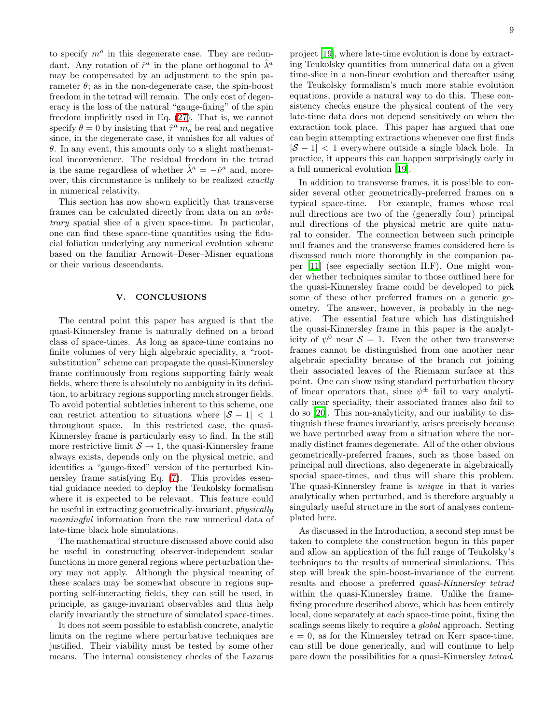to specify  $m^a$  in this degenerate case. They are redundant. Any rotation of  $\hat{r}^a$  in the plane orthogonal to  $\hat{\lambda}^a$ may be compensated by an adjustment to the spin parameter  $\theta$ ; as in the non-degenerate case, the spin-boost freedom in the tetrad will remain. The only cost of degeneracy is the loss of the natural "gauge-fixing" of the spin freedom implicitly used in Eq. [\(27\)](#page-7-1). That is, we cannot specify  $\theta = 0$  by insisting that  $\hat{\tau}^a m_a$  be real and negative since, in the degenerate case, it vanishes for all values of  $\theta$ . In any event, this amounts only to a slight mathematical inconvenience. The residual freedom in the tetrad is the same regardless of whether  $\hat{\lambda}^a = -\hat{\nu}^a$  and, moreover, this circumstance is unlikely to be realized exactly in numerical relativity.

This section has now shown explicitly that transverse frames can be calculated directly from data on an arbitrary spatial slice of a given space-time. In particular, one can find these space-time quantities using the fiducial foliation underlying any numerical evolution scheme based on the familiar Arnowit–Deser–Misner equations or their various descendants.

## **CONCLUSIONS**

The central point this paper has argued is that the quasi-Kinnersley frame is naturally defined on a broad class of space-times. As long as space-time contains no finite volumes of very high algebraic speciality, a "rootsubstitution" scheme can propagate the quasi-Kinnersley frame continuously from regions supporting fairly weak fields, where there is absolutely no ambiguity in its definition, to arbitrary regions supporting much stronger fields. To avoid potential subtleties inherent to this scheme, one can restrict attention to situations where  $|S - 1| < 1$ throughout space. In this restricted case, the quasi-Kinnersley frame is particularly easy to find. In the still more restrictive limit  $S \rightarrow 1$ , the quasi-Kinnersley frame always exists, depends only on the physical metric, and identifies a "gauge-fixed" version of the perturbed Kinnersley frame satisfying Eq. [\(7\)](#page-2-0). This provides essential guidance needed to deploy the Teukolsky formalism where it is expected to be relevant. This feature could be useful in extracting geometrically-invariant, physically meaningful information from the raw numerical data of late-time black hole simulations.

The mathematical structure discussed above could also be useful in constructing observer-independent scalar functions in more general regions where perturbation theory may not apply. Although the physical meaning of these scalars may be somewhat obscure in regions supporting self-interacting fields, they can still be used, in principle, as gauge-invariant observables and thus help clarify invariantly the structure of simulated space-times.

It does not seem possible to establish concrete, analytic limits on the regime where perturbative techniques are justified. Their viability must be tested by some other means. The internal consistency checks of the Lazarus

project [\[19](#page-10-18)], where late-time evolution is done by extracting Teukolsky quantities from numerical data on a given time-slice in a non-linear evolution and thereafter using the Teukolsky formalism's much more stable evolution equations, provide a natural way to do this. These consistency checks ensure the physical content of the very late-time data does not depend sensitively on when the extraction took place. This paper has argued that one can begin attempting extractions whenever one first finds  $|S - 1|$  < 1 everywhere outside a single black hole. In practice, it appears this can happen surprisingly early in a full numerical evolution [\[19](#page-10-18)].

In addition to transverse frames, it is possible to consider several other geometrically-preferred frames on a typical space-time. For example, frames whose real null directions are two of the (generally four) principal null directions of the physical metric are quite natural to consider. The connection between such principle null frames and the transverse frames considered here is discussed much more thoroughly in the companion paper [\[11\]](#page-10-10) (see especially section II.F). One might wonder whether techniques similar to those outlined here for the quasi-Kinnersley frame could be developed to pick some of these other preferred frames on a generic geometry. The answer, however, is probably in the negative. The essential feature which has distinguished the quasi-Kinnersley frame in this paper is the analyticity of  $\psi^0$  near  $\mathcal{S} = 1$ . Even the other two transverse frames cannot be distinguished from one another near algebraic speciality because of the branch cut joining their associated leaves of the Riemann surface at this point. One can show using standard perturbation theory of linear operators that, since  $\psi^{\pm}$  fail to vary analytically near speciality, their associated frames also fail to do so [\[20\]](#page-10-19). This non-analyticity, and our inability to distinguish these frames invariantly, arises precisely because we have perturbed away from a situation where the normally distinct frames degenerate. All of the other obvious geometrically-preferred frames, such as those based on principal null directions, also degenerate in algebraically special space-times, and thus will share this problem. The quasi-Kinnersley frame is unique in that it varies analytically when perturbed, and is therefore arguably a singularly useful structure in the sort of analyses contemplated here.

As discussed in the Introduction, a second step must be taken to complete the construction begun in this paper and allow an application of the full range of Teukolsky's techniques to the results of numerical simulations. This step will break the spin-boost-invariance of the current results and choose a preferred quasi-Kinnersley tetrad within the quasi-Kinnersley frame. Unlike the framefixing procedure described above, which has been entirely local, done separately at each space-time point, fixing the scalings seems likely to require a global approach. Setting  $\epsilon = 0$ , as for the Kinnersley tetrad on Kerr space-time, can still be done generically, and will continue to help pare down the possibilities for a quasi-Kinnersley tetrad.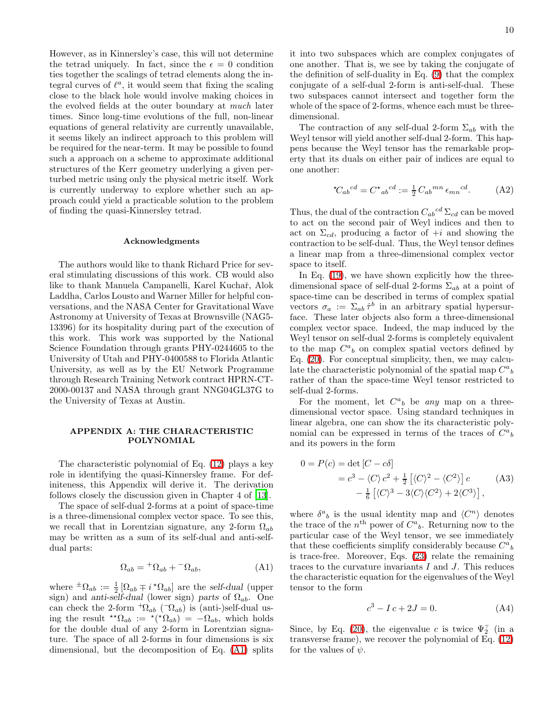However, as in Kinnersley's case, this will not determine the tetrad uniquely. In fact, since the  $\epsilon = 0$  condition ties together the scalings of tetrad elements along the integral curves of  $\ell^a$ , it would seem that fixing the scaling close to the black hole would involve making choices in the evolved fields at the outer boundary at much later times. Since long-time evolutions of the full, non-linear equations of general relativity are currently unavailable, it seems likely an indirect approach to this problem will be required for the near-term. It may be possible to found such a approach on a scheme to approximate additional structures of the Kerr geometry underlying a given perturbed metric using only the physical metric itself. Work is currently underway to explore whether such an approach could yield a practicable solution to the problem of finding the quasi-Kinnersley tetrad.

## Acknowledgments

The authors would like to thank Richard Price for several stimulating discussions of this work. CB would also like to thank Manuela Campanelli, Karel Kuchař, Alok Laddha, Carlos Lousto and Warner Miller for helpful conversations, and the NASA Center for Gravitational Wave Astronomy at University of Texas at Brownsville (NAG5- 13396) for its hospitality during part of the execution of this work. This work was supported by the National Science Foundation through grants PHY-0244605 to the University of Utah and PHY-0400588 to Florida Atlantic University, as well as by the EU Network Programme through Research Training Network contract HPRN-CT-2000-00137 and NASA through grant NNG04GL37G to the University of Texas at Austin.

## APPENDIX A: THE CHARACTERISTIC POLYNOMIAL

The characteristic polynomial of Eq. [\(12\)](#page-4-1) plays a key role in identifying the quasi-Kinnersley frame. For definiteness, this Appendix will derive it. The derivation follows closely the discussion given in Chapter 4 of [\[13](#page-10-11)].

The space of self-dual 2-forms at a point of space-time is a three-dimensional complex vector space. To see this, we recall that in Lorentzian signature, any 2-form  $\Omega_{ab}$ may be written as a sum of its self-dual and anti-selfdual parts:

$$
\Omega_{ab} = {}^{+}\Omega_{ab} + {}^{-}\Omega_{ab},\tag{A1}
$$

<span id="page-9-0"></span>where  ${}^{\pm} \Omega_{ab} := \frac{1}{2} [\Omega_{ab} \mp i \Lambda_{ab}]$  are the self-dual (upper sign) and anti-self-dual (lower sign) parts of  $\Omega_{ab}$ . One can check the 2-form  ${}^+\Omega_{ab}$  ( ${}^-\Omega_{ab}$ ) is (anti-)self-dual using the result \*\* $\Omega_{ab} := \star(\star \Omega_{ab}) = -\Omega_{ab}$ , which holds for the double dual of any 2-form in Lorentzian signature. The space of all 2-forms in four dimensions is six dimensional, but the decomposition of Eq. [\(A1\)](#page-9-0) splits it into two subspaces which are complex conjugates of one another. That is, we see by taking the conjugate of the definition of self-duality in Eq. [\(9\)](#page-3-2) that the complex conjugate of a self-dual 2-form is anti-self-dual. These two subspaces cannot intersect and together form the whole of the space of 2-forms, whence each must be threedimensional.

The contraction of any self-dual 2-form  $\Sigma_{ab}$  with the Weyl tensor will yield another self-dual 2-form. This happens because the Weyl tensor has the remarkable property that its duals on either pair of indices are equal to one another:

$$
{}^{\star}C_{ab}{}^{cd} = C^{\star}{}_{ab}{}^{cd} := \frac{1}{2} C_{ab}{}^{mn} \epsilon_{mn}{}^{cd}.
$$
 (A2)

Thus, the dual of the contraction  $C_{ab}{}^{cd} \Sigma_{cd}$  can be moved to act on the second pair of Weyl indices and then to act on  $\Sigma_{cd}$ , producing a factor of  $+i$  and showing the contraction to be self-dual. Thus, the Weyl tensor defines a linear map from a three-dimensional complex vector space to itself.

In Eq. [\(19\)](#page-6-1), we have shown explicitly how the threedimensional space of self-dual 2-forms  $\Sigma_{ab}$  at a point of space-time can be described in terms of complex spatial vectors  $\sigma_a := \sum_{ab} \hat{\tau}^b$  in an arbitrary spatial hypersurface. These later objects also form a three-dimensional complex vector space. Indeed, the map induced by the Weyl tensor on self-dual 2-forms is completely equivalent to the map  $C^a{}_b$  on complex spatial vectors defined by Eq. [\(20\)](#page-6-0). For conceptual simplicity, then, we may calculate the characteristic polynomial of the spatial map  $C^a{}_b$ rather of than the space-time Weyl tensor restricted to self-dual 2-forms.

For the moment, let  $C^a{}_b$  be any map on a threedimensional vector space. Using standard techniques in linear algebra, one can show the its characteristic polynomial can be expressed in terms of the traces of  $C^a{}_b$ and its powers in the form

$$
0 = P(c) = \det [C - c\delta]
$$
  
= c<sup>3</sup> - \langle C \rangle c<sup>2</sup> +  $\frac{1}{2}$  [\langle C \rangle<sup>2</sup> - \langle C<sup>2</sup> \rangle] c (A3)  
-  $\frac{1}{6}$  [\langle C \rangle<sup>3</sup> - 3\langle C \rangle \langle C<sup>2</sup> \rangle + 2\langle C<sup>3</sup> \rangle],

where  $\delta^a{}_b$  is the usual identity map and  $\langle C^n \rangle$  denotes the trace of the  $n<sup>th</sup>$  power of  $C^a{}_b$ . Returning now to the particular case of the Weyl tensor, we see immediately that these coefficients simplify considerably because  $C^a{}_b$ is trace-free. Moreover, Eqs. [\(23\)](#page-7-2) relate the remaining traces to the curvature invariants  $I$  and  $J$ . This reduces the characteristic equation for the eigenvalues of the Weyl tensor to the form

$$
c^3 - Ic + 2J = 0.\t(A4)
$$

Since, by Eq. [\(20\)](#page-6-0), the eigenvalue c is twice  $\Psi_2^{\dagger}$  (in a transverse frame), we recover the polynomial of Eq. [\(12\)](#page-4-1) for the values of  $\psi$ .